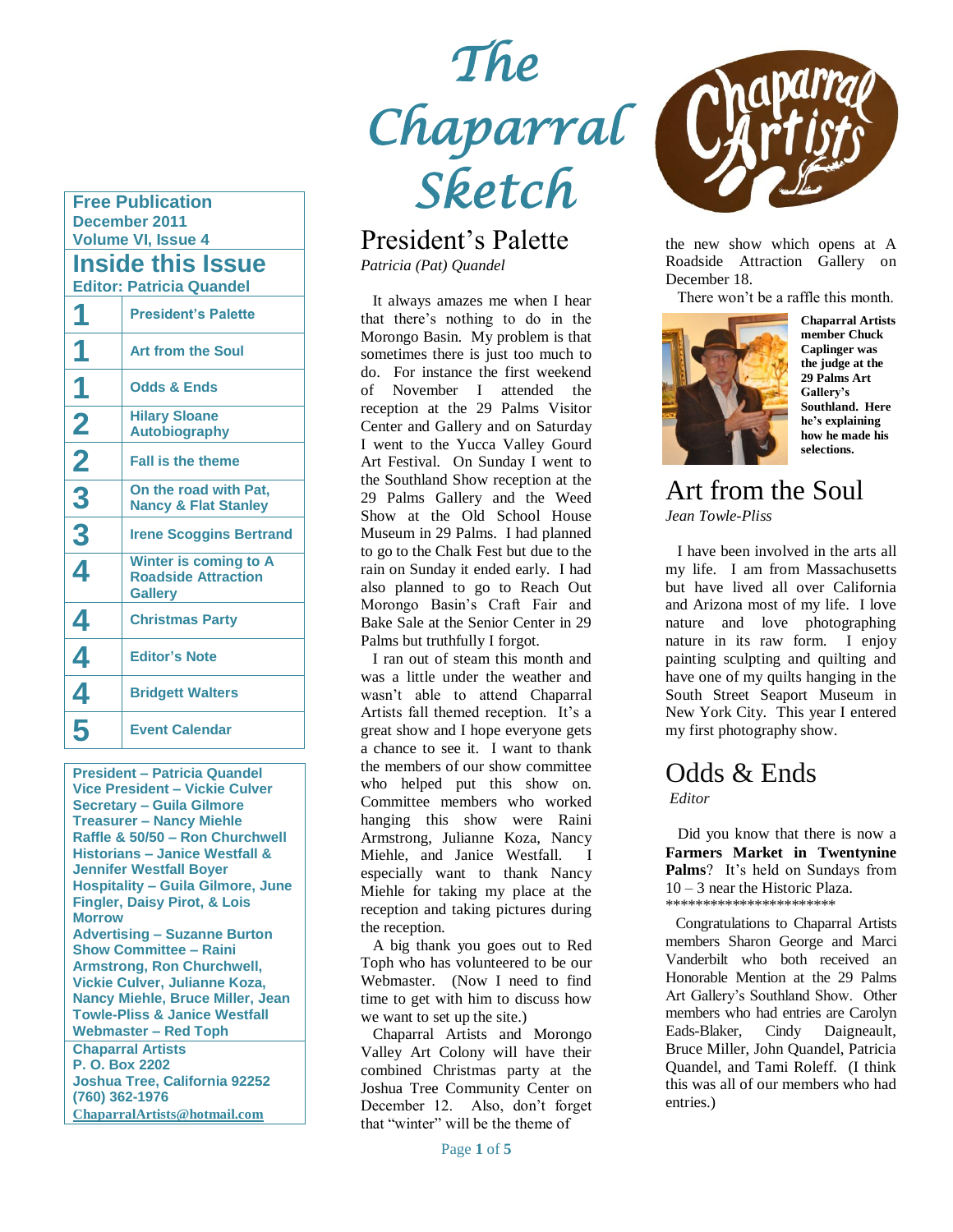**Free Publication December 2011 Volume VI, Issue 4**

**Inside this Issue Editor: Patricia Quandel** 

| <b>President's Palette</b>                                            |
|-----------------------------------------------------------------------|
| <b>Art from the Soul</b>                                              |
| <b>Odds &amp; Ends</b>                                                |
| <b>Hilary Sloane</b><br><b>Autobiography</b>                          |
| <b>Fall is the theme</b>                                              |
| On the road with Pat,<br><b>Nancy &amp; Flat Stanley</b>              |
| <b>Irene Scoggins Bertrand</b>                                        |
| Winter is coming to A<br><b>Roadside Attraction</b><br><b>Gallery</b> |
| <b>Christmas Party</b>                                                |
| <b>Editor's Note</b>                                                  |
| <b>Bridgett Walters</b>                                               |
| <b>Event Calendar</b>                                                 |
|                                                                       |

**President – Patricia Quandel Vice President – Vickie Culver Secretary – Guila Gilmore Treasurer – Nancy Miehle Raffle & 50/50 – Ron Churchwell Historians – Janice Westfall & Jennifer Westfall Boyer Hospitality – Guila Gilmore, June Fingler, Daisy Pirot, & Lois Morrow Advertising – Suzanne Burton Show Committee – Raini Armstrong, Ron Churchwell, Vickie Culver, Julianne Koza, Nancy Miehle, Bruce Miller, Jean Towle-Pliss & Janice Westfall Webmaster – Red Toph Chaparral Artists P. O. Box 2202 Joshua Tree, California 92252 (760) 362-1976 [ChaparralArtists@hotmail.com](mailto:ChaparralArtists@hotmail.com)**

# *The Chaparral Sketch*

# President's Palette

*Patricia (Pat) Quandel*

 It always amazes me when I hear that there's nothing to do in the Morongo Basin. My problem is that sometimes there is just too much to do. For instance the first weekend of November I attended the reception at the 29 Palms Visitor Center and Gallery and on Saturday I went to the Yucca Valley Gourd Art Festival. On Sunday I went to the Southland Show reception at the 29 Palms Gallery and the Weed Show at the Old School House Museum in 29 Palms. I had planned to go to the Chalk Fest but due to the rain on Sunday it ended early. I had also planned to go to Reach Out Morongo Basin's Craft Fair and Bake Sale at the Senior Center in 29 Palms but truthfully I forgot.

 I ran out of steam this month and was a little under the weather and wasn't able to attend Chaparral Artists fall themed reception. It's a great show and I hope everyone gets a chance to see it. I want to thank the members of our show committee who helped put this show on. Committee members who worked hanging this show were Raini Armstrong, Julianne Koza, Nancy Miehle, and Janice Westfall. especially want to thank Nancy Miehle for taking my place at the reception and taking pictures during the reception.

 A big thank you goes out to Red Toph who has volunteered to be our Webmaster. (Now I need to find time to get with him to discuss how we want to set up the site.)

 Chaparral Artists and Morongo Valley Art Colony will have their combined Christmas party at the Joshua Tree Community Center on December 12. Also, don't forget that "winter" will be the theme of



the new show which opens at A Roadside Attraction Gallery on December 18.

There won't be a raffle this month.



**Chaparral Artists member Chuck Caplinger was the judge at the 29 Palms Art Gallery's Southland. Here he's explaining how he made his selections.**

#### Art from the Soul *Jean Towle-Pliss*

 I have been involved in the arts all my life. I am from Massachusetts but have lived all over California and Arizona most of my life. I love nature and love photographing nature in its raw form. I enjoy painting sculpting and quilting and have one of my quilts hanging in the South Street Seaport Museum in New York City. This year I entered my first photography show.

# Odds & Ends

*Editor*

 Did you know that there is now a **Farmers Market in Twentynine Palms**? It's held on Sundays from 10 – 3 near the Historic Plaza. \*\*\*\*\*\*\*\*\*\*\*\*\*\*\*\*\*\*\*\*\*\*\*

 Congratulations to Chaparral Artists members Sharon George and Marci Vanderbilt who both received an Honorable Mention at the 29 Palms Art Gallery's Southland Show. Other members who had entries are Carolyn Eads-Blaker, Cindy Daigneault, Bruce Miller, John Quandel, Patricia Quandel, and Tami Roleff. (I think this was all of our members who had entries.)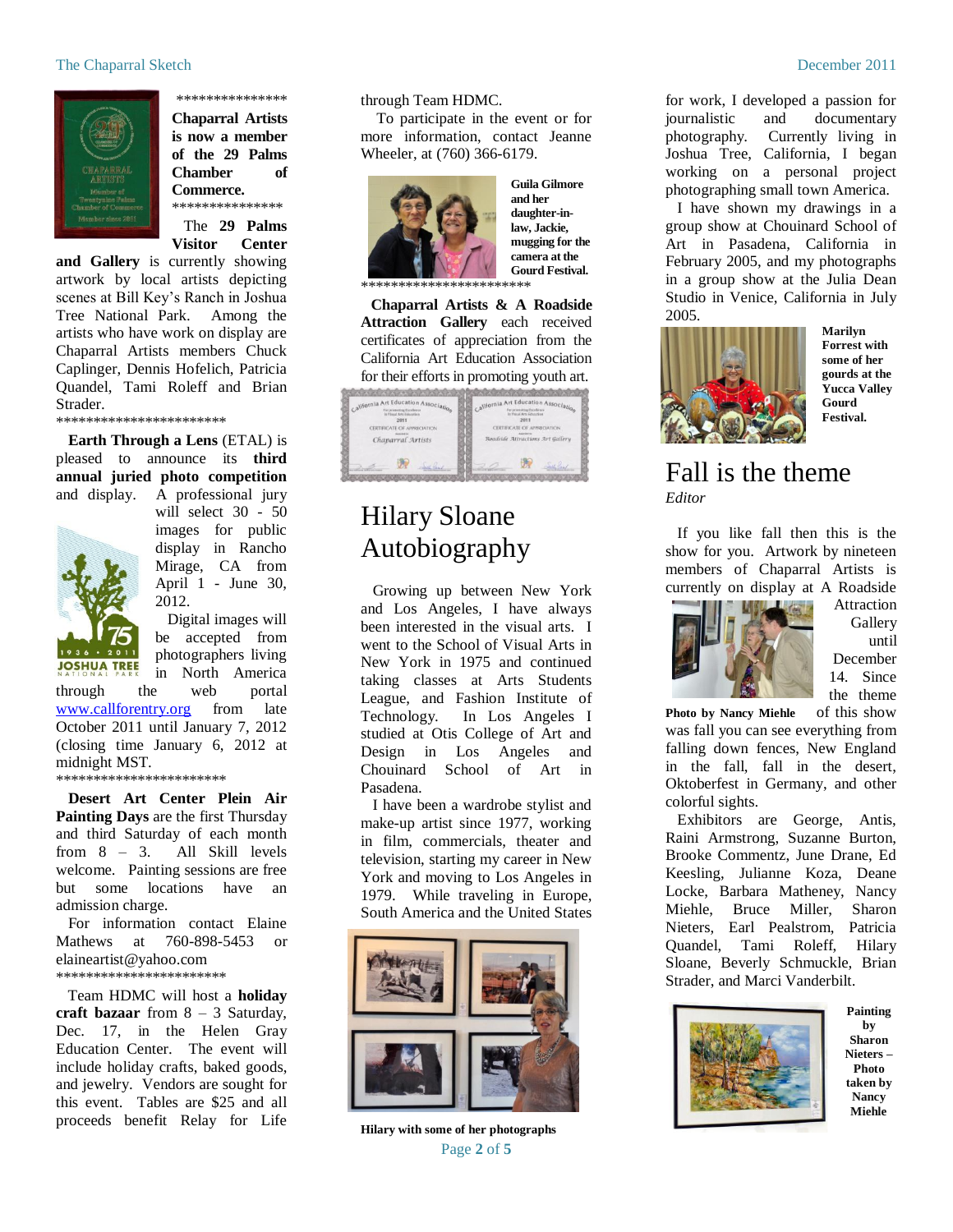

\*\*\*\*\*\*\*\*\*\*\*\*\*\*\* **Chaparral Artists is now a member of the 29 Palms Chamber of Commerce.** \*\*\*\*\*\*\*\*\*\*\*\*\*\*\*

 The **29 Palms Visitor Center** 

**and Gallery** is currently showing artwork by local artists depicting scenes at Bill Key's Ranch in Joshua Tree National Park. Among the artists who have work on display are Chaparral Artists members Chuck Caplinger, Dennis Hofelich, Patricia Quandel, Tami Roleff and Brian Strader.

\*\*\*\*\*\*\*\*\*\*\*\*\*\*\*\*\*\*\*\*\*\*\*

 **Earth Through a Lens** (ETAL) is pleased to announce its **third annual juried photo competition** and display. A professional jury



will select 30 - 50 images for public display in Rancho Mirage, CA from April 1 - June 30, 2012.

 Digital images will be accepted from photographers living in North America

through the web portal [www.callforentry.org](http://www.callforentry.org/) from late October 2011 until January 7, 2012 (closing time January 6, 2012 at midnight MST. \*\*\*\*\*\*\*\*\*\*\*\*\*\*\*\*\*\*\*\*\*\*\*

 **Desert Art Center Plein Air Painting Days** are the first Thursday and third Saturday of each month from 8 – 3. All Skill levels welcome. Painting sessions are free but some locations have an admission charge.

 For information contact Elaine Mathews at 760-898-5453 or elaineartist@yahoo.com \*\*\*\*\*\*\*\*\*\*\*\*\*\*\*\*\*\*\*\*\*\*\*

 Team HDMC will host a **holiday craft bazaar** from 8 – 3 Saturday, Dec. 17, in the Helen Gray Education Center. The event will include holiday crafts, baked goods, and jewelry. Vendors are sought for this event. Tables are \$25 and all proceeds benefit Relay for Life

through Team HDMC.

 To participate in the event or for more information, contact Jeanne Wheeler, at (760) 366-6179.



**Guila Gilmore and her daughter-inlaw, Jackie, mugging for the camera at the Gourd Festival.**

\*\*\*\*\*\*\*\*\*\*\*

 **Chaparral Artists & A Roadside**  Attraction Gallery each received certificates of appreciation from the California Art Education Association for their efforts in promoting youth art.



# Hilary Sloane Autobiography

 Growing up between New York and Los Angeles, I have always been interested in the visual arts. I went to the School of Visual Arts in New York in 1975 and continued taking classes at Arts Students League, and Fashion Institute of Technology. In Los Angeles I studied at Otis College of Art and Design in Los Angeles and Chouinard School of Art in Pasadena.

 I have been a wardrobe stylist and make-up artist since 1977, working in film, commercials, theater and television, starting my career in New York and moving to Los Angeles in 1979. While traveling in Europe, South America and the United States



Page **2** of **5 Hilary with some of her photographs**

for work, I developed a passion for journalistic and documentary photography. Currently living in Joshua Tree, California, I began working on a personal project photographing small town America.

 I have shown my drawings in a group show at Chouinard School of Art in Pasadena, California in February 2005, and my photographs in a group show at the Julia Dean Studio in Venice, California in July 2005.



**Marilyn Forrest with some of her gourds at the Yucca Valley Gourd Festival.**

#### Fall is the theme *Editor*

 If you like fall then this is the show for you. Artwork by nineteen members of Chaparral Artists is currently on display at A Roadside



Attraction Gallery until December 14. Since the theme

**Photo by Nancy Miehle** of this show was fall you can see everything from falling down fences, New England in the fall, fall in the desert, Oktoberfest in Germany, and other colorful sights.

 Exhibitors are George, Antis, Raini Armstrong, Suzanne Burton, Brooke Commentz, June Drane, Ed Keesling, Julianne Koza, Deane Locke, Barbara Matheney, Nancy Miehle, Bruce Miller, Sharon Nieters, Earl Pealstrom, Patricia Quandel, Tami Roleff, Hilary Sloane, Beverly Schmuckle, Brian Strader, and Marci Vanderbilt.



**Painting by Sharon Nieters – Photo taken by Nancy Miehle**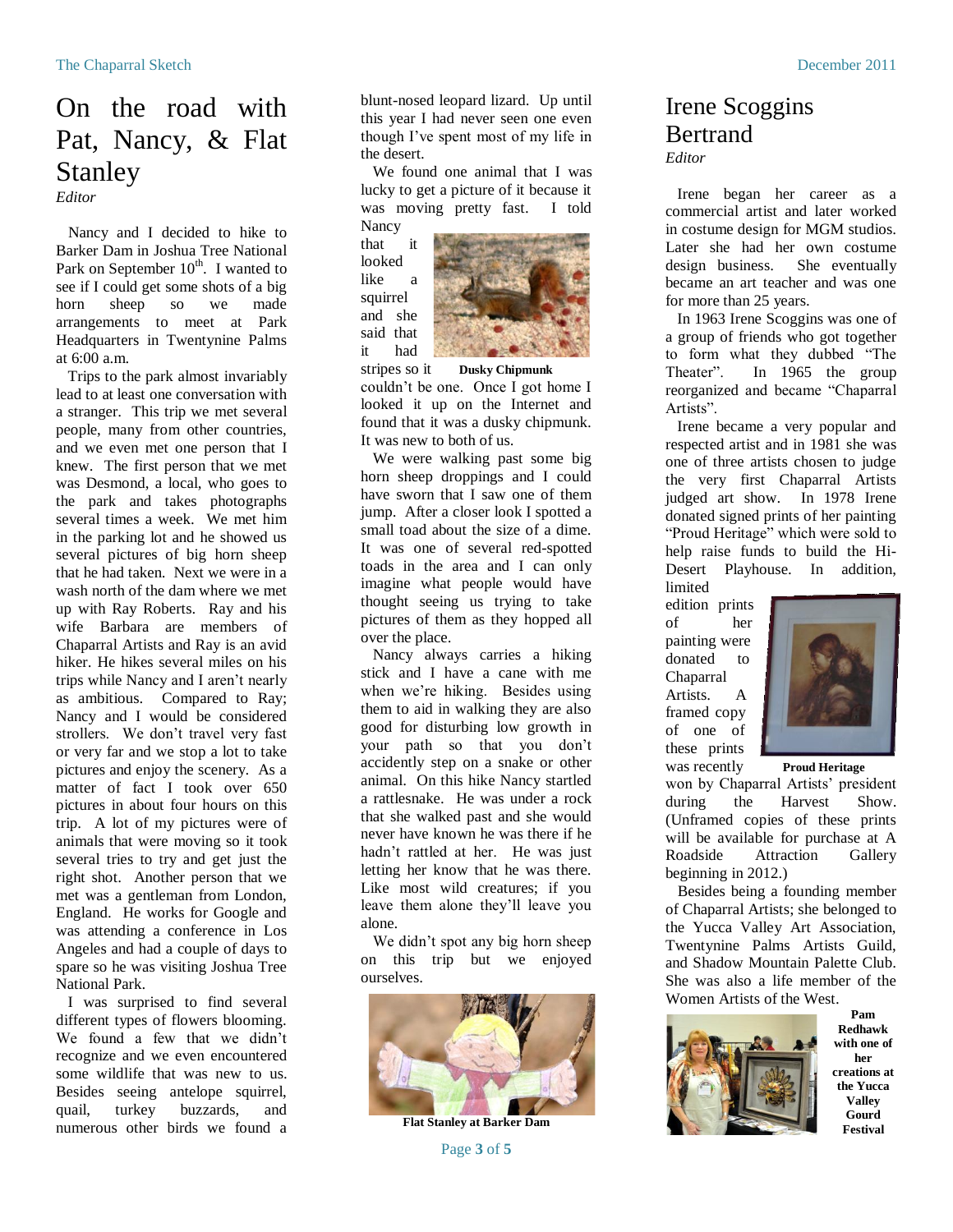# On the road with Pat, Nancy, & Flat Stanley

*Editor*

 Nancy and I decided to hike to Barker Dam in Joshua Tree National Park on September  $10^{th}$ . I wanted to see if I could get some shots of a big horn sheep so we made arrangements to meet at Park Headquarters in Twentynine Palms at 6:00 a.m.

 Trips to the park almost invariably lead to at least one conversation with a stranger. This trip we met several people, many from other countries, and we even met one person that I knew. The first person that we met was Desmond, a local, who goes to the park and takes photographs several times a week. We met him in the parking lot and he showed us several pictures of big horn sheep that he had taken. Next we were in a wash north of the dam where we met up with Ray Roberts. Ray and his wife Barbara are members of Chaparral Artists and Ray is an avid hiker. He hikes several miles on his trips while Nancy and I aren't nearly as ambitious. Compared to Ray; Nancy and I would be considered strollers. We don't travel very fast or very far and we stop a lot to take pictures and enjoy the scenery. As a matter of fact I took over 650 pictures in about four hours on this trip. A lot of my pictures were of animals that were moving so it took several tries to try and get just the right shot. Another person that we met was a gentleman from London, England. He works for Google and was attending a conference in Los Angeles and had a couple of days to spare so he was visiting Joshua Tree National Park.

 I was surprised to find several different types of flowers blooming. We found a few that we didn't recognize and we even encountered some wildlife that was new to us. Besides seeing antelope squirrel, quail, turkey buzzards, and numerous other birds we found a

blunt-nosed leopard lizard. Up until this year I had never seen one even though I've spent most of my life in the desert.

 We found one animal that I was lucky to get a picture of it because it was moving pretty fast. I told **Nancy** 

that it looked like a squirrel and she said that it had



stripes so it **Dusky Chipmunk** couldn't be one. Once I got home I looked it up on the Internet and found that it was a dusky chipmunk. It was new to both of us.

 We were walking past some big horn sheep droppings and I could have sworn that I saw one of them jump. After a closer look I spotted a small toad about the size of a dime. It was one of several red-spotted toads in the area and I can only imagine what people would have thought seeing us trying to take pictures of them as they hopped all over the place.

 Nancy always carries a hiking stick and I have a cane with me when we're hiking. Besides using them to aid in walking they are also good for disturbing low growth in your path so that you don't accidently step on a snake or other animal. On this hike Nancy startled a rattlesnake. He was under a rock that she walked past and she would never have known he was there if he hadn't rattled at her. He was just letting her know that he was there. Like most wild creatures; if you leave them alone they'll leave you alone.

 We didn't spot any big horn sheep on this trip but we enjoyed ourselves.



**Flat Stanley at Barker Dam**

Page **3** of **5**

# Irene Scoggins **Bertrand**

*Editor*

 Irene began her career as a commercial artist and later worked in costume design for MGM studios. Later she had her own costume design business. She eventually became an art teacher and was one for more than 25 years.

 In 1963 Irene Scoggins was one of a group of friends who got together to form what they dubbed "The Theater". In 1965 the group reorganized and became "Chaparral Artists".

 Irene became a very popular and respected artist and in 1981 she was one of three artists chosen to judge the very first Chaparral Artists judged art show. In 1978 Irene donated signed prints of her painting "Proud Heritage" which were sold to help raise funds to build the Hi-Desert Playhouse. In addition, limited

edition prints of her painting were donated to Chaparral Artists. A framed copy of one of these prints



was recently **Proud Heritage**

won by Chaparral Artists' president during the Harvest Show. (Unframed copies of these prints will be available for purchase at A Roadside Attraction Gallery beginning in 2012.)

 Besides being a founding member of Chaparral Artists; she belonged to the Yucca Valley Art Association, Twentynine Palms Artists Guild, and Shadow Mountain Palette Club. She was also a life member of the Women Artists of the West.



**Pam Redhawk with one of her creations at the Yucca Valley Gourd Festival**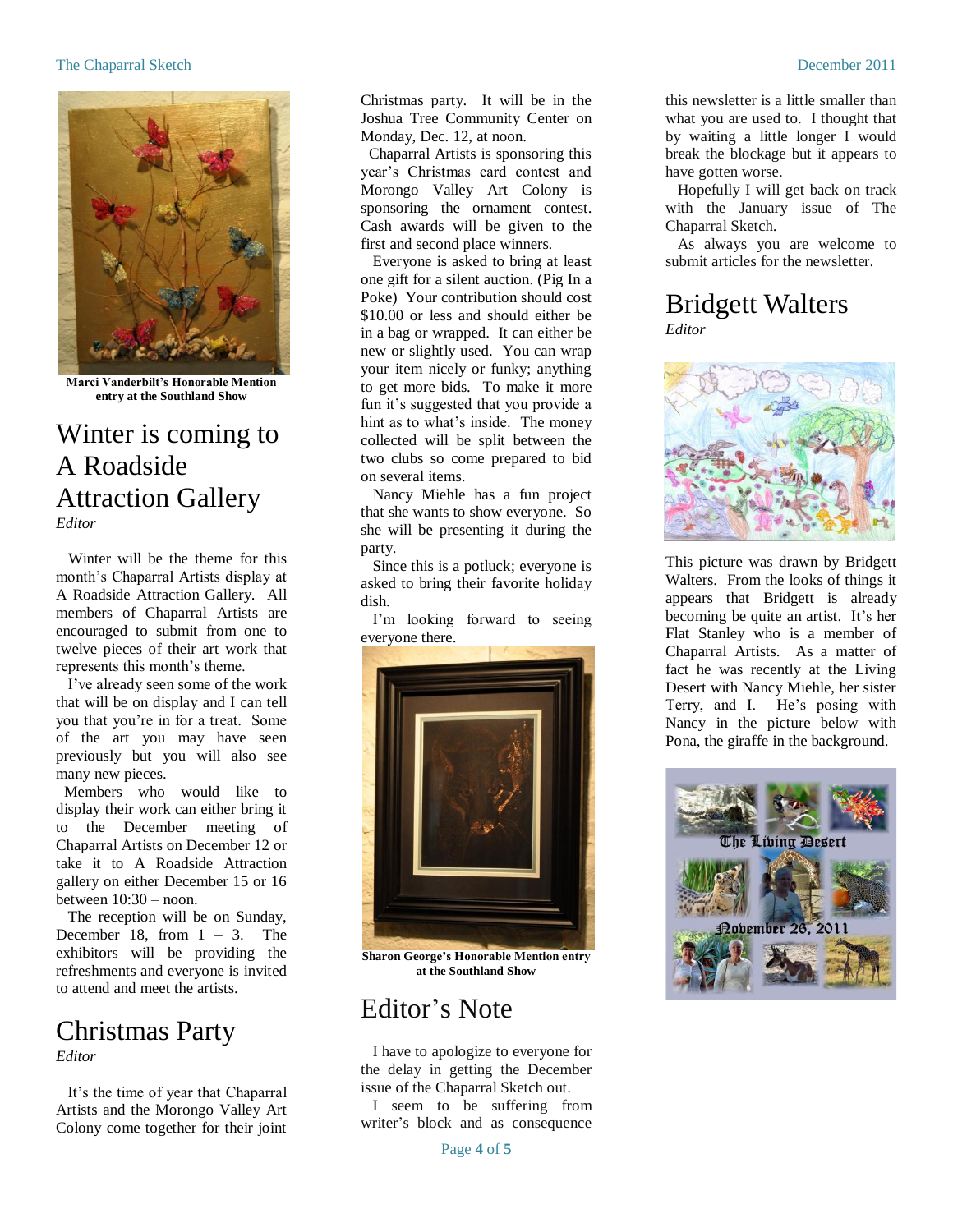#### The Chaparral Sketch December 2011



**Marci Vanderbilt's Honorable Mention entry at the Southland Show**

#### Winter is coming to A Roadside Attraction Gallery *Editor*

 Winter will be the theme for this month's Chaparral Artists display at A Roadside Attraction Gallery. All members of Chaparral Artists are encouraged to submit from one to twelve pieces of their art work that represents this month's theme.

 I've already seen some of the work that will be on display and I can tell you that you're in for a treat. Some of the art you may have seen previously but you will also see many new pieces.

 Members who would like to display their work can either bring it to the December meeting of Chaparral Artists on December 12 or take it to A Roadside Attraction gallery on either December 15 or 16 between 10:30 – noon.

 The reception will be on Sunday, December 18, from  $1 - 3$ . The exhibitors will be providing the refreshments and everyone is invited to attend and meet the artists.

#### Christmas Party *Editor*

 It's the time of year that Chaparral Artists and the Morongo Valley Art Colony come together for their joint

Christmas party. It will be in the Joshua Tree Community Center on Monday, Dec. 12, at noon.

 Chaparral Artists is sponsoring this year's Christmas card contest and Morongo Valley Art Colony is sponsoring the ornament contest. Cash awards will be given to the first and second place winners.

 Everyone is asked to bring at least one gift for a silent auction. (Pig In a Poke) Your contribution should cost \$10.00 or less and should either be in a bag or wrapped. It can either be new or slightly used. You can wrap your item nicely or funky; anything to get more bids. To make it more fun it's suggested that you provide a hint as to what's inside. The money collected will be split between the two clubs so come prepared to bid on several items.

 Nancy Miehle has a fun project that she wants to show everyone. So she will be presenting it during the party.

 Since this is a potluck; everyone is asked to bring their favorite holiday dish.

 I'm looking forward to seeing everyone there.



**Sharon George's Honorable Mention entry at the Southland Show**

### Editor's Note

I have to apologize to everyone for the delay in getting the December issue of the Chaparral Sketch out.

I seem to be suffering from writer's block and as consequence

this newsletter is a little smaller than what you are used to. I thought that by waiting a little longer I would break the blockage but it appears to have gotten worse.

Hopefully I will get back on track with the January issue of The Chaparral Sketch.

As always you are welcome to submit articles for the newsletter.

#### Bridgett Walters *Editor*



This picture was drawn by Bridgett Walters. From the looks of things it appears that Bridgett is already becoming be quite an artist. It's her Flat Stanley who is a member of Chaparral Artists. As a matter of fact he was recently at the Living Desert with Nancy Miehle, her sister Terry, and I. He's posing with Nancy in the picture below with Pona, the giraffe in the background.